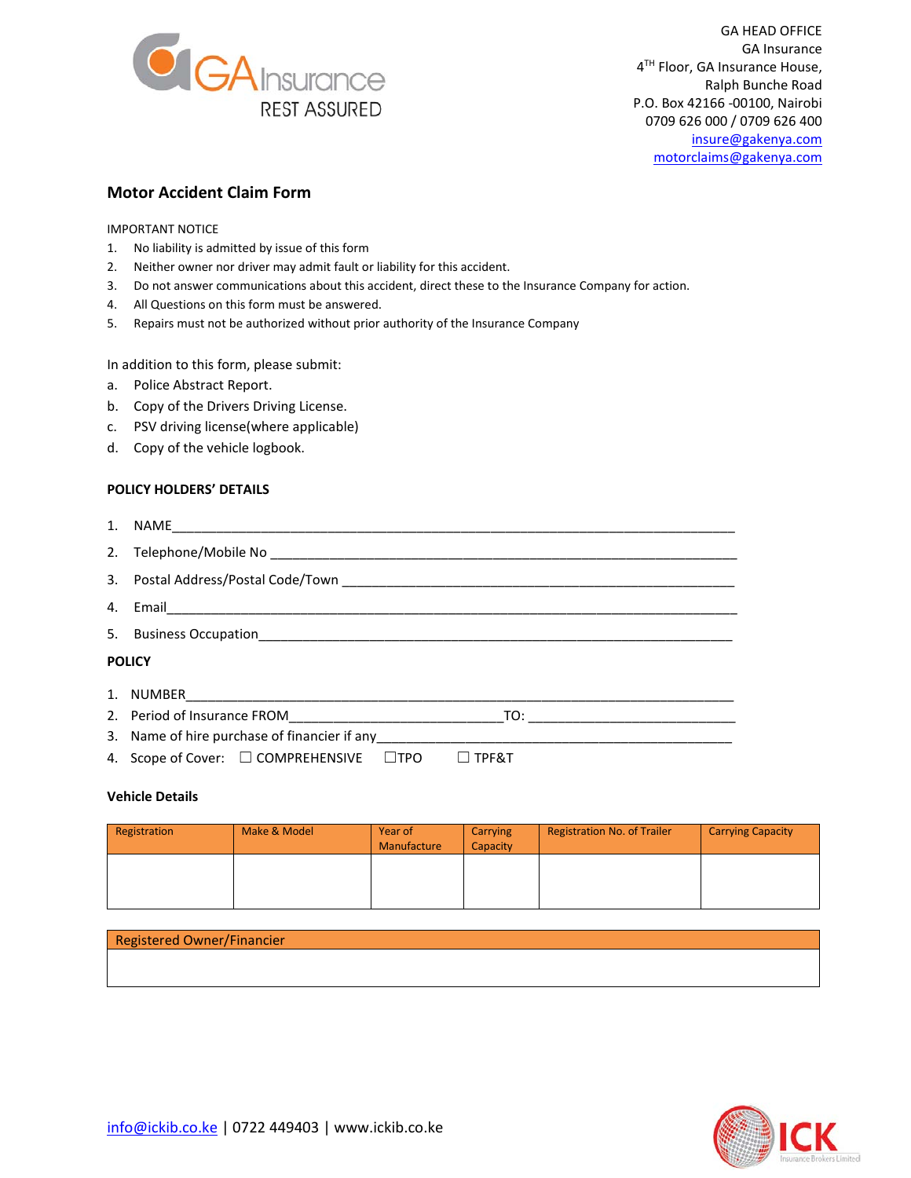

GA HEAD OFFICE GA Insurance 4<sup>TH</sup> Floor, GA Insurance House, Ralph Bunche Road P.O. Box 42166 -00100, Nairobi 0709 626 000 / 0709 626 400 [insure@gakenya.com](mailto:insure@gakenya.com) [motorclaims@gakenya.com](mailto:motorclaims@gakenya.com)

# **Motor Accident Claim Form**

IMPORTANT NOTICE

- 1. No liability is admitted by issue of this form
- 2. Neither owner nor driver may admit fault or liability for this accident.
- 3. Do not answer communications about this accident, direct these to the Insurance Company for action.
- 4. All Questions on this form must be answered.
- 5. Repairs must not be authorized without prior authority of the Insurance Company

In addition to this form, please submit:

- a. Police Abstract Report.
- b. Copy of the Drivers Driving License.
- c. PSV driving license(where applicable)
- d. Copy of the vehicle logbook.

#### **POLICY HOLDERS' DETAILS**

| <b>POLICY</b> |  |  |
|---------------|--|--|
|               |  |  |
|               |  |  |
|               |  |  |
|               |  |  |

4. Scope of Cover: ☐ COMPREHENSIVE ☐TPO ☐ TPF&T

## **Vehicle Details**

| Registration | Make & Model | Year of<br>Manufacture | Carrying<br>Capacity | <b>Registration No. of Trailer</b> | <b>Carrying Capacity</b> |
|--------------|--------------|------------------------|----------------------|------------------------------------|--------------------------|
|              |              |                        |                      |                                    |                          |
|              |              |                        |                      |                                    |                          |

## Registered Owner/Financier

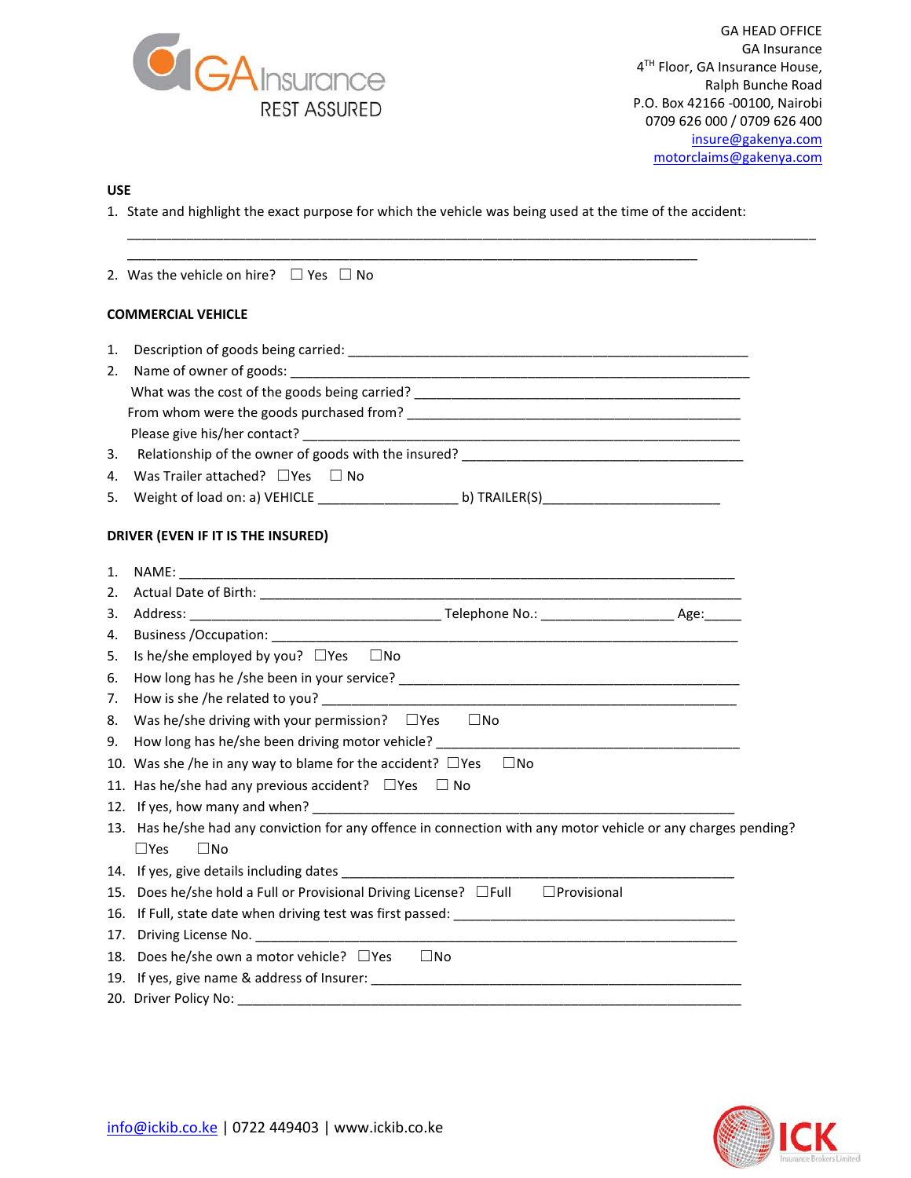

GA HEAD OFFICE GA Insurance 4TH Floor, GA Insurance House, Ralph Bunche Road P.O. Box 42166 -00100, Nairobi 0709 626 000 / 0709 626 400 [insure@gakenya.com](mailto:insure@gakenya.com) [motorclaims@gakenya.com](mailto:motorclaims@gakenya.com)

## **USE**

1. State and highlight the exact purpose for which the vehicle was being used at the time of the accident:

\_\_\_\_\_\_\_\_\_\_\_\_\_\_\_\_\_\_\_\_\_\_\_\_\_\_\_\_\_\_\_\_\_\_\_\_\_\_\_\_\_\_\_\_\_\_\_\_\_\_\_\_\_\_\_\_\_\_\_\_\_\_\_\_\_\_\_\_\_\_\_\_\_\_\_\_\_\_\_\_\_\_\_\_\_\_\_\_\_\_\_\_\_

|    | 2. Was the vehicle on hire? $\Box$ Yes $\Box$ No                                                                                                                                                                               |  |
|----|--------------------------------------------------------------------------------------------------------------------------------------------------------------------------------------------------------------------------------|--|
|    | <b>COMMERCIAL VEHICLE</b>                                                                                                                                                                                                      |  |
| 1. |                                                                                                                                                                                                                                |  |
| 2. |                                                                                                                                                                                                                                |  |
|    |                                                                                                                                                                                                                                |  |
|    |                                                                                                                                                                                                                                |  |
|    |                                                                                                                                                                                                                                |  |
| 3. |                                                                                                                                                                                                                                |  |
| 4. | Was Trailer attached? $\Box$ Yes $\Box$ No                                                                                                                                                                                     |  |
| 5. |                                                                                                                                                                                                                                |  |
|    | DRIVER (EVEN IF IT IS THE INSURED)                                                                                                                                                                                             |  |
| 1. |                                                                                                                                                                                                                                |  |
| 2. | Actual Date of Birth: National Actual Actual Actual Actual Actual Actual Actual Actual Actual Actual Actual Actual Actual Actual Actual Actual Actual Actual Actual Actual Actual Actual Actual Actual Actual Actual Actual Ac |  |
| 3. |                                                                                                                                                                                                                                |  |
| 4. |                                                                                                                                                                                                                                |  |
| 5. | Is he/she employed by you? $\Box$ Yes $\Box$ No                                                                                                                                                                                |  |
| 6. |                                                                                                                                                                                                                                |  |
| 7. | How is she /he related to you? Notice that the contract of the contract of the contract of the contract of the                                                                                                                 |  |
| 8. | Was he/she driving with your permission? $\Box$ Yes $\Box$ No                                                                                                                                                                  |  |
| 9. | How long has he/she been driving motor vehicle? The material control of the state of the state of the state of                                                                                                                 |  |
|    | 10. Was she /he in any way to blame for the accident? $\Box$ Yes $\Box$ No                                                                                                                                                     |  |
|    | 11. Has he/she had any previous accident? $\Box$ Yes $\Box$ No                                                                                                                                                                 |  |
|    |                                                                                                                                                                                                                                |  |
|    | 13. Has he/she had any conviction for any offence in connection with any motor vehicle or any charges pending?<br>$\square$ Yes<br>$\Box$ No                                                                                   |  |
|    |                                                                                                                                                                                                                                |  |
|    | 15. Does he/she hold a Full or Provisional Driving License? □Full □ Provisional                                                                                                                                                |  |
|    |                                                                                                                                                                                                                                |  |
|    | 17. Driving License No.                                                                                                                                                                                                        |  |
|    | 18. Does he/she own a motor vehicle? $\Box$ Yes<br>$\square$ No                                                                                                                                                                |  |
|    |                                                                                                                                                                                                                                |  |
|    |                                                                                                                                                                                                                                |  |
|    |                                                                                                                                                                                                                                |  |

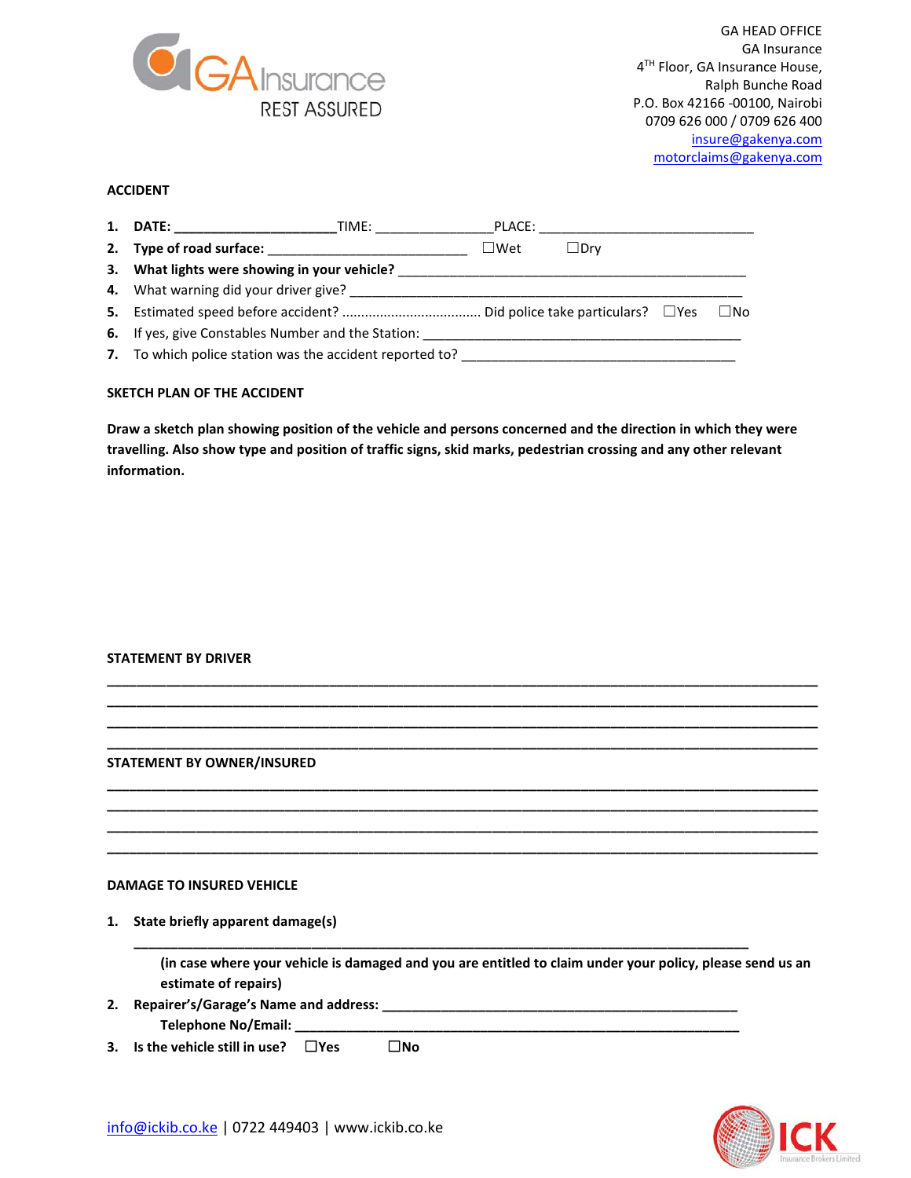

GA HEAD OFFICE GA Insurance 4<sup>TH</sup> Floor, GA Insurance House, Ralph Bunche Road P.O. Box 42166 -00100, Nairobi 0709 626 000 / 0709 626 400 [insure@gakenya.com](mailto:insure@gakenya.com) [motorclaims@gakenya.com](mailto:motorclaims@gakenya.com)

## **ACCIDENT**

|                                                           | PLACE:     |            |              |
|-----------------------------------------------------------|------------|------------|--------------|
|                                                           | $\Box$ Wet | $\Box$ Drv |              |
| 3. What lights were showing in your vehicle?              |            |            |              |
|                                                           |            |            |              |
|                                                           |            |            | $\square$ No |
| <b>6.</b> If yes, give Constables Number and the Station: |            |            |              |
| 7. To which police station was the accident reported to?  |            |            |              |

#### **SKETCH PLAN OF THE ACCIDENT**

**Draw a sketch plan showing position of the vehicle and persons concerned and the direction in which they were travelling. Also show type and position of traffic signs, skid marks, pedestrian crossing and any other relevant information.**

#### **STATEMENT BY DRIVER**